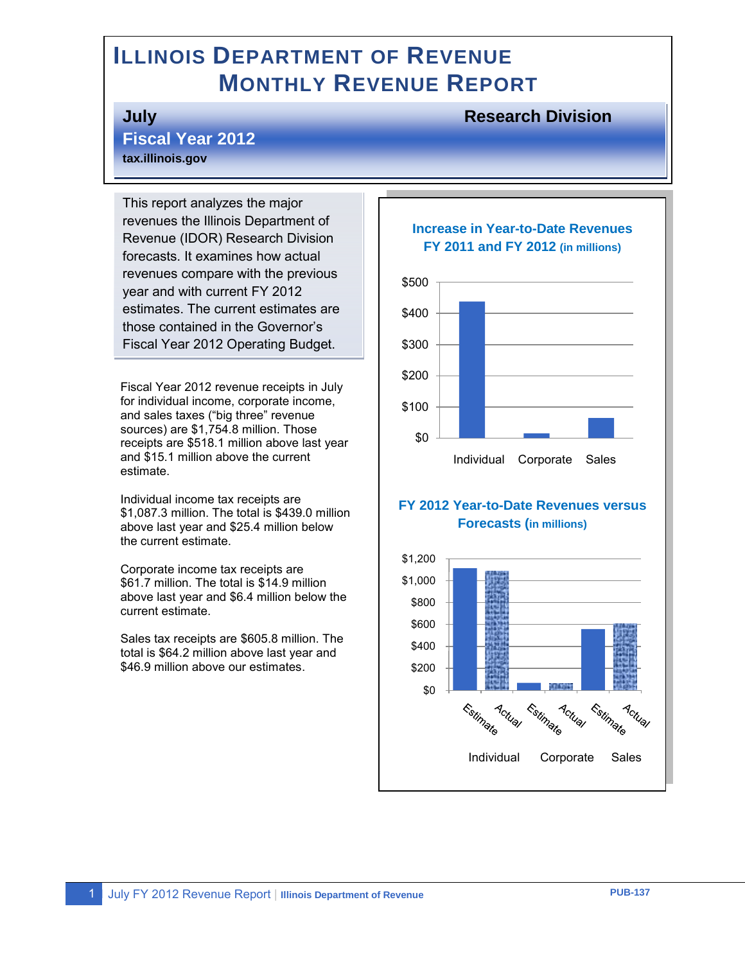# **ILLINOIS DEPARTMENT OF REVENUE MONTHLY REVENUE REPORT**

#### **July Research Division**

**Fiscal Year 2012 tax.illinois.gov**

This report analyzes the major revenues the Illinois Department of Revenue (IDOR) Research Division forecasts. It examines how actual revenues compare with the previous year and with current FY 2012 estimates. The current estimates are those contained in the Governor's Fiscal Year 2012 Operating Budget.

Fiscal Year 2012 revenue receipts in July for individual income, corporate income, and sales taxes ("big three" revenue sources) are \$1,754.8 million. Those receipts are \$518.1 million above last year and \$15.1 million above the current estimate.

Individual income tax receipts are \$1,087.3 million. The total is \$439.0 million above last year and \$25.4 million below the current estimate.

Corporate income tax receipts are \$61.7 million. The total is \$14.9 million above last year and \$6.4 million below the current estimate.

Sales tax receipts are \$605.8 million. The total is \$64.2 million above last year and \$46.9 million above our estimates.

#### **Increase in Year-to-Date Revenues FY 2011 and FY 2012 (in millions)**



#### **FY 2012 Year-to-Date Revenues versus Forecasts (in millions)**

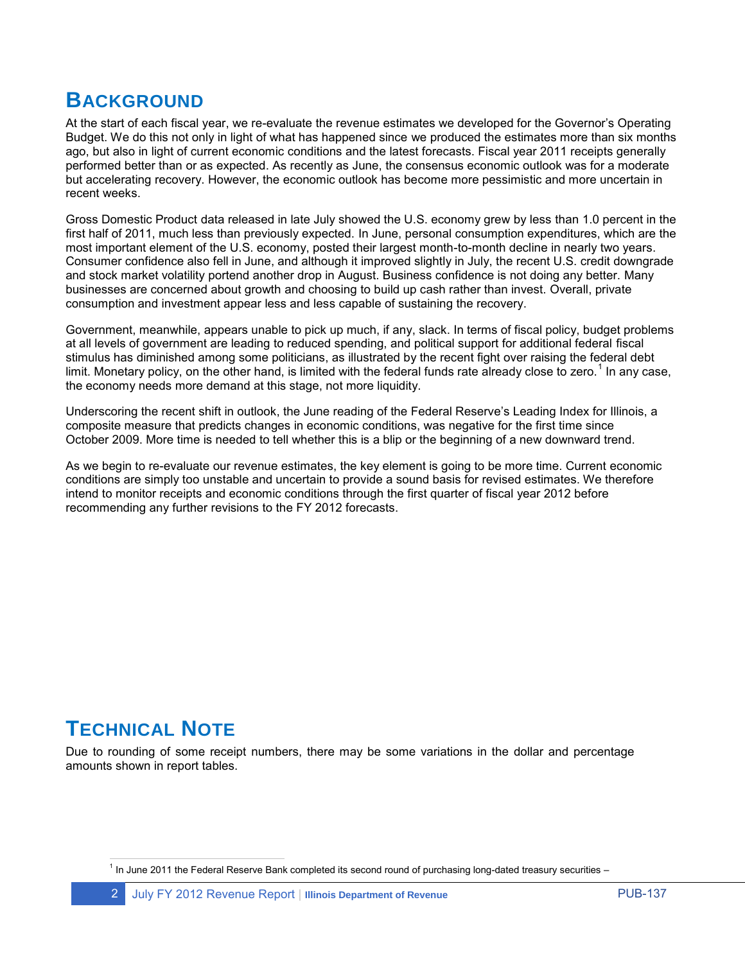# **BACKGROUND**

At the start of each fiscal year, we re-evaluate the revenue estimates we developed for the Governor's Operating Budget. We do this not only in light of what has happened since we produced the estimates more than six months ago, but also in light of current economic conditions and the latest forecasts. Fiscal year 2011 receipts generally performed better than or as expected. As recently as June, the consensus economic outlook was for a moderate but accelerating recovery. However, the economic outlook has become more pessimistic and more uncertain in recent weeks.

Gross Domestic Product data released in late July showed the U.S. economy grew by less than 1.0 percent in the first half of 2011, much less than previously expected. In June, personal consumption expenditures, which are the most important element of the U.S. economy, posted their largest month-to-month decline in nearly two years. Consumer confidence also fell in June, and although it improved slightly in July, the recent U.S. credit downgrade and stock market volatility portend another drop in August. Business confidence is not doing any better. Many businesses are concerned about growth and choosing to build up cash rather than invest. Overall, private consumption and investment appear less and less capable of sustaining the recovery.

Government, meanwhile, appears unable to pick up much, if any, slack. In terms of fiscal policy, budget problems at all levels of government are leading to reduced spending, and political support for additional federal fiscal stimulus has diminished among some politicians, as illustrated by the recent fight over raising the federal debt limit. Monetary policy, on the other hand, is limited with the federal funds rate already close to zero.<sup>1</sup> In any case, the economy needs more demand at this stage, not more liquidity.

Underscoring the recent shift in outlook, the June reading of the Federal Reserve's Leading Index for Illinois, a composite measure that predicts changes in economic conditions, was negative for the first time since October 2009. More time is needed to tell whether this is a blip or the beginning of a new downward trend.

As we begin to re-evaluate our revenue estimates, the key element is going to be more time. Current economic conditions are simply too unstable and uncertain to provide a sound basis for revised estimates. We therefore intend to monitor receipts and economic conditions through the first quarter of fiscal year 2012 before recommending any further revisions to the FY 2012 forecasts.

# **TECHNICAL NOTE**

Due to rounding of some receipt numbers, there may be some variations in the dollar and percentage amounts shown in report tables.

 1 In June 2011 the Federal Reserve Bank completed its second round of purchasing long-dated treasury securities –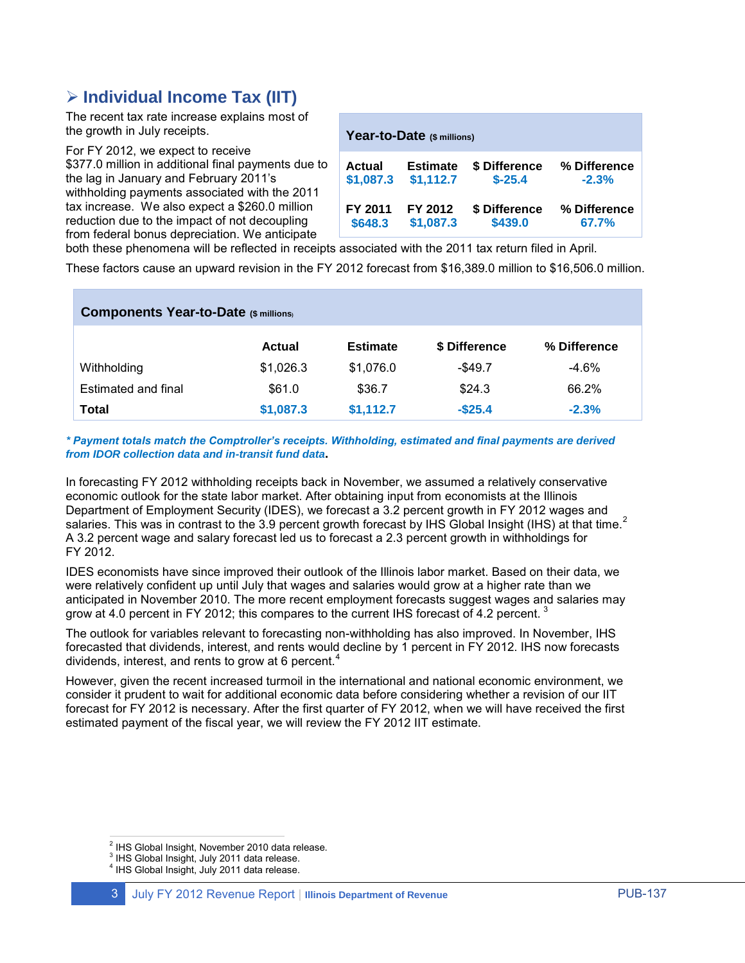## **Individual Income Tax (IIT)**

The recent tax rate increase explains most of the growth in July receipts.

For FY 2012, we expect to receive \$377.0 million in additional final payments due to the lag in January and February 2011's withholding payments associated with the 2011 tax increase. We also expect a \$260.0 million reduction due to the impact of not decoupling from federal bonus depreciation. We anticipate

| Year-to-Date (\$ millions) |                 |               |              |  |  |  |
|----------------------------|-----------------|---------------|--------------|--|--|--|
| Actual                     | <b>Estimate</b> | \$ Difference | % Difference |  |  |  |
| \$1,087.3                  | \$1,112.7       | $$-25.4$      | $-2.3%$      |  |  |  |
| FY 2011                    | FY 2012         | \$ Difference | % Difference |  |  |  |
| \$648.3                    | \$1,087.3       | \$439.0       | 67.7%        |  |  |  |

both these phenomena will be reflected in receipts associated with the 2011 tax return filed in April.

These factors cause an upward revision in the FY 2012 forecast from \$16,389.0 million to \$16,506.0 million.

| <b>Components Year-to-Date (\$ millions)</b> |           |                 |               |              |  |  |
|----------------------------------------------|-----------|-----------------|---------------|--------------|--|--|
|                                              | Actual    | <b>Estimate</b> | \$ Difference | % Difference |  |  |
| Withholding                                  | \$1,026.3 | \$1,076.0       | $-$ \$49.7    | $-4.6\%$     |  |  |
| Estimated and final                          | \$61.0    | \$36.7          | \$24.3        | 66.2%        |  |  |
| Total                                        | \$1,087.3 | \$1,112.7       | $-$ \$25.4    | $-2.3%$      |  |  |

*\* Payment totals match the Comptroller's receipts. Withholding, estimated and final payments are derived from IDOR collection data and in-transit fund data***.**

In forecasting FY 2012 withholding receipts back in November, we assumed a relatively conservative economic outlook for the state labor market. After obtaining input from economists at the Illinois Department of Employment Security (IDES), we forecast a 3.2 percent growth in FY 2012 wages and salaries. This was in contrast to the 3.9 percent growth forecast by IHS Global Insight (IHS) at that time.<sup>2</sup> A 3.2 percent wage and salary forecast led us to forecast a 2.3 percent growth in withholdings for FY 2012.

IDES economists have since improved their outlook of the Illinois labor market. Based on their data, we were relatively confident up until July that wages and salaries would grow at a higher rate than we anticipated in November 2010. The more recent employment forecasts suggest wages and salaries may grow at 4.0 percent in FY 2012; this compares to the current IHS forecast of 4.2 percent.  $3$ 

The outlook for variables relevant to forecasting non-withholding has also improved. In November, IHS forecasted that dividends, interest, and rents would decline by 1 percent in FY 2012. IHS now forecasts dividends, interest, and rents to grow at 6 percent.<sup>4</sup>

However, given the recent increased turmoil in the international and national economic environment, we consider it prudent to wait for additional economic data before considering whether a revision of our IIT forecast for FY 2012 is necessary. After the first quarter of FY 2012, when we will have received the first estimated payment of the fiscal year, we will review the FY 2012 IIT estimate.

 2 IHS Global Insight, November 2010 data release.

 $3$  IHS Global Insight, July 2011 data release.

<sup>4</sup> IHS Global Insight, July 2011 data release.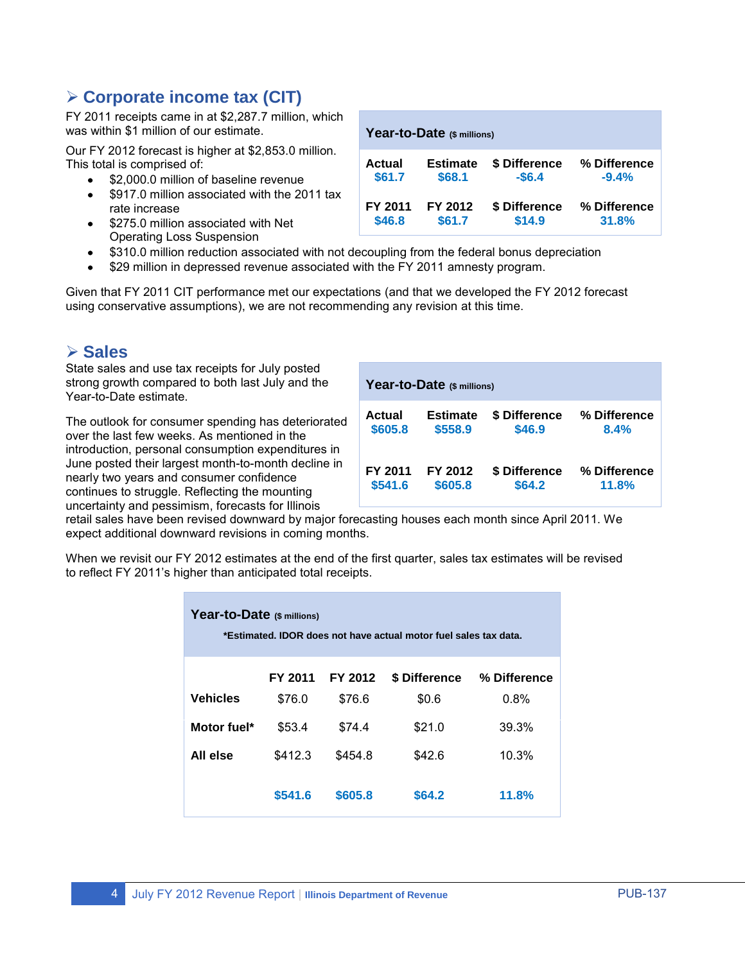### **Corporate income tax (CIT)**

FY 2011 receipts came in at \$2,287.7 million, which was within \$1 million of our estimate.

Our FY 2012 forecast is higher at \$2,853.0 million. This total is comprised of:

- \$2,000.0 million of baseline revenue  $\bullet$
- \$917.0 million associated with the 2011 tax rate increase
- \$275.0 million associated with Net Operating Loss Suspension

| Year-to-Date (\$ millions) |                 |               |              |  |  |
|----------------------------|-----------------|---------------|--------------|--|--|
| Actual                     | <b>Estimate</b> | \$ Difference | % Difference |  |  |
| \$61.7                     | \$68.1          | $-$6.4$       | $-9.4%$      |  |  |
| FY 2011                    | FY 2012         | \$ Difference | % Difference |  |  |
| \$46.8                     | \$61.7          | \$14.9        | 31.8%        |  |  |

- \$310.0 million reduction associated with not decoupling from the federal bonus depreciation
- \$29 million in depressed revenue associated with the FY 2011 amnesty program.

Given that FY 2011 CIT performance met our expectations (and that we developed the FY 2012 forecast using conservative assumptions), we are not recommending any revision at this time.

#### **Sales**

State sales and use tax receipts for July posted strong growth compared to both last July and the Year-to-Date estimate.

The outlook for consumer spending has deteriorated over the last few weeks. As mentioned in the introduction, personal consumption expenditures in June posted their largest month-to-month decline in nearly two years and consumer confidence continues to struggle. Reflecting the mounting uncertainty and pessimism, forecasts for Illinois

| Year-to-Date (\$ millions) |                 |               |              |  |  |
|----------------------------|-----------------|---------------|--------------|--|--|
| Actual                     | <b>Estimate</b> | \$ Difference | % Difference |  |  |
| \$605.8                    | \$558.9         | \$46.9        | 8.4%         |  |  |
| FY 2011                    | FY 2012         | \$ Difference | % Difference |  |  |
| \$541.6                    | \$605.8         | \$64.2        | 11.8%        |  |  |

retail sales have been revised downward by major forecasting houses each month since April 2011. We expect additional downward revisions in coming months.

When we revisit our FY 2012 estimates at the end of the first quarter, sales tax estimates will be revised to reflect FY 2011's higher than anticipated total receipts.

| Year-to-Date (\$ millions)<br>*Estimated. IDOR does not have actual motor fuel sales tax data. |         |         |               |              |  |  |
|------------------------------------------------------------------------------------------------|---------|---------|---------------|--------------|--|--|
|                                                                                                | FY 2011 | FY 2012 | \$ Difference | % Difference |  |  |
| <b>Vehicles</b>                                                                                | \$76.0  | \$76.6  | \$0.6         | 0.8%         |  |  |
| Motor fuel*                                                                                    | \$53.4  | \$74.4  | \$21.0        | 39.3%        |  |  |
| All else                                                                                       | \$412.3 | \$454.8 | \$42.6        | 10.3%        |  |  |
|                                                                                                | \$541.6 | \$605.8 | \$64.2        | 11.8%        |  |  |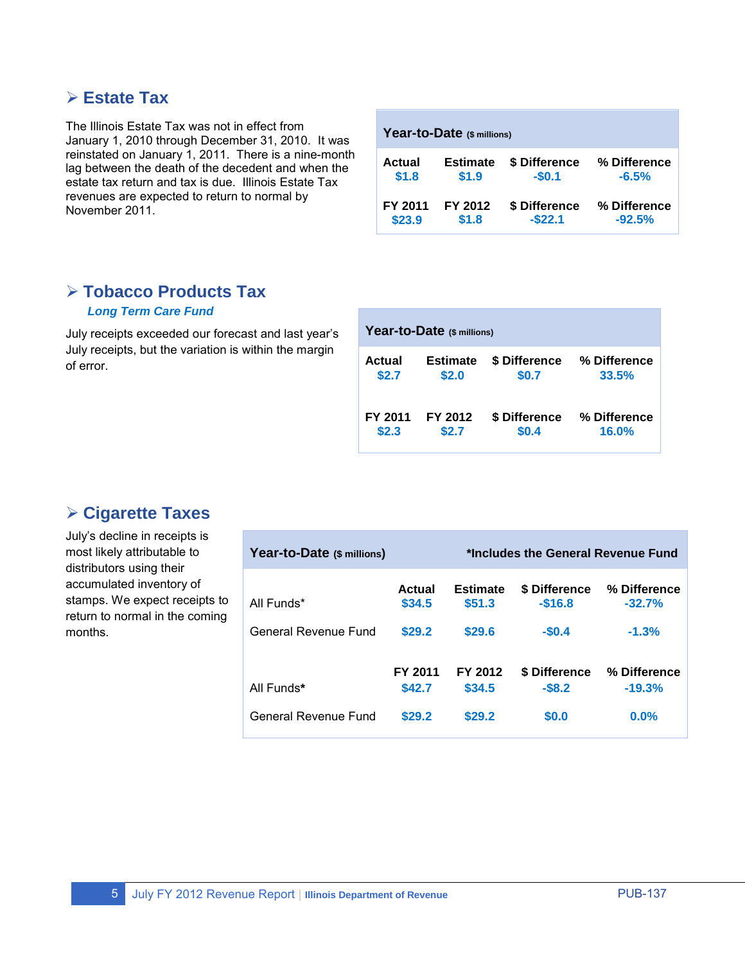### **Estate Tax**

The Illinois Estate Tax was not in effect from January 1, 2010 through December 31, 2010. It was reinstated on January 1, 2011. There is a nine-month lag between the death of the decedent and when the estate tax return and tax is due. Illinois Estate Tax revenues are expected to return to normal by November 2011.

| Year-to-Date (\$ millions) |                 |               |              |  |  |  |
|----------------------------|-----------------|---------------|--------------|--|--|--|
| Actual                     | <b>Estimate</b> | \$ Difference | % Difference |  |  |  |
| \$1.8                      | \$1.9           | $-$0.1$       | $-6.5%$      |  |  |  |
| FY 2011                    | FY 2012         | \$ Difference | % Difference |  |  |  |
| \$23.9                     | \$1.8           | $-$ \$22.1    | $-92.5%$     |  |  |  |

### **Tobacco Products Tax**

#### *Long Term Care Fund*

July receipts exceeded our forecast and last year's July receipts, but the variation is within the margin of error.

| Year-to-Date (\$ millions) |                 |               |              |  |  |
|----------------------------|-----------------|---------------|--------------|--|--|
| Actual                     | <b>Estimate</b> | \$ Difference | % Difference |  |  |
| \$2.7                      | \$2.0           | \$0.7         | 33.5%        |  |  |
| FY 2011                    | FY 2012         | \$ Difference | % Difference |  |  |
| \$2.3                      | \$2.7           | \$0.4         | 16.0%        |  |  |

## **Cigarette Taxes**

July's decline in receipts is most likely attributable to distributors using their accumulated inventory of stamps. We expect receipts to return to normal in the coming months.

| Year-to-Date (\$ millions) |                         |                           | *Includes the General Revenue Fund |                          |
|----------------------------|-------------------------|---------------------------|------------------------------------|--------------------------|
| All Funds*                 | <b>Actual</b><br>\$34.5 | <b>Estimate</b><br>\$51.3 | <b>\$ Difference</b><br>$-$16.8$   | % Difference<br>$-32.7%$ |
| General Revenue Fund       | \$29.2                  | \$29.6                    | $-$0.4$                            | $-1.3%$                  |
| All Funds*                 | FY 2011<br>\$42.7       | FY 2012<br>\$34.5         | <b>\$ Difference</b><br>$-58.2$    | % Difference<br>$-19.3%$ |
| General Revenue Fund       | \$29.2                  | \$29.2                    | \$0.0                              | 0.0%                     |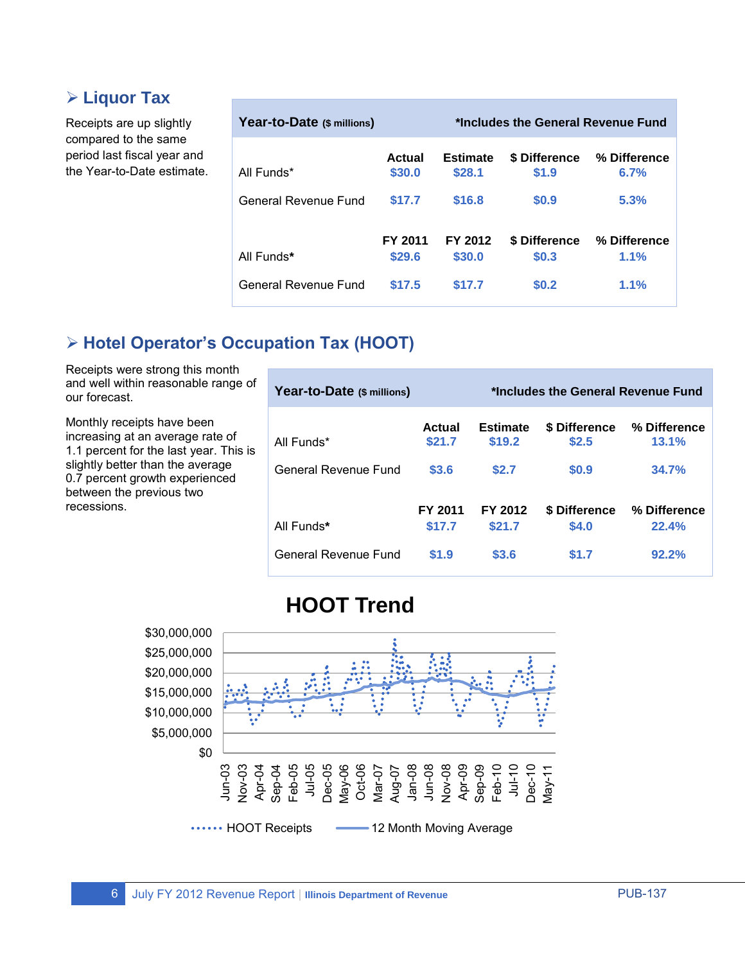## **Liquor Tax**

Receipts are up slightly compared to the same period last fiscal year and the Year-to-Date estimate.

| Year-to-Date (\$ millions) |                   | *Includes the General Revenue Fund |                               |                      |
|----------------------------|-------------------|------------------------------------|-------------------------------|----------------------|
| All Funds*                 | Actual<br>\$30.0  | <b>Estimate</b><br>\$28.1          | <b>\$ Difference</b><br>\$1.9 | % Difference<br>6.7% |
| General Revenue Fund       | \$17.7            | \$16.8                             | \$0.9                         | 5.3%                 |
| All Funds*                 | FY 2011<br>\$29.6 | FY 2012<br>\$30.0                  | <b>\$ Difference</b><br>\$0.3 | % Difference<br>1.1% |
| General Revenue Fund       | \$17.5            | \$17.7                             | \$0.2                         | 1.1%                 |

## **Hotel Operator's Occupation Tax (HOOT)**

Receipts were strong this month and well within reasonable range of our forecast.

Monthly receipts have been increasing at an average rate of 1.1 percent for the last year. This is slightly better than the average 0.7 percent growth experienced between the previous two recessions.

| Year-to-Date (\$ millions) |                   | *Includes the General Revenue Fund |                        |                       |
|----------------------------|-------------------|------------------------------------|------------------------|-----------------------|
| All Funds*                 | Actual<br>\$21.7  | <b>Estimate</b><br>\$19.2          | \$ Difference<br>\$2.5 | % Difference<br>13.1% |
| General Revenue Fund       | \$3.6             | \$2.7                              | \$0.9                  | 34.7%                 |
| All Funds*                 | FY 2011<br>\$17.7 | FY 2012<br>\$21.7                  | \$ Difference<br>\$4.0 | % Difference<br>22.4% |
| General Revenue Fund       | \$1.9             | \$3.6                              | \$1.7                  | 92.2%                 |

# **HOOT Trend**

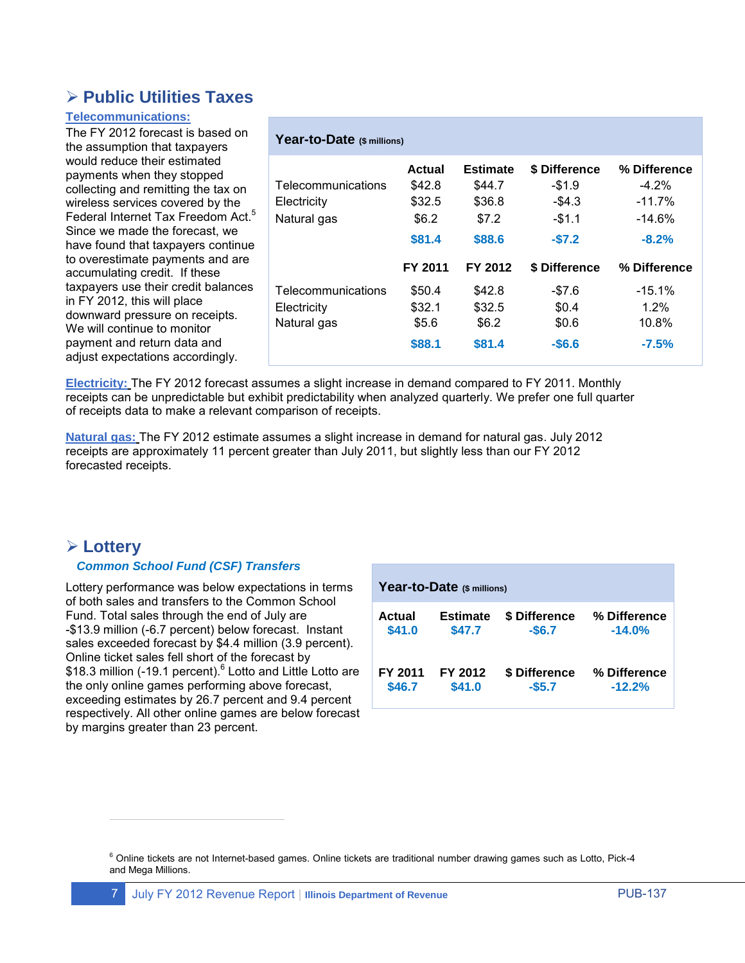### **Public Utilities Taxes**

#### **Telecommunications:**

The FY 2012 forecast is based on the assumption that taxpayers would reduce their estimated payments when they stopped collecting and remitting the tax on wireless services covered by the Federal Internet Tax Freedom Act.<sup>5</sup> Since we made the forecast, we have found that taxpayers continue to overestimate payments and are accumulating credit. If these taxpayers use their credit balances in FY 2012, this will place downward pressure on receipts. We will continue to monitor payment and return data and adjust expectations accordingly.

| Year-to-Date (\$ millions) |         |                 |               |              |
|----------------------------|---------|-----------------|---------------|--------------|
|                            | Actual  | <b>Estimate</b> | \$ Difference | % Difference |
| Telecommunications         | \$42.8  | \$44.7          | $-$1.9$       | $-4.2\%$     |
| Electricity                | \$32.5  | \$36.8          | $-$ \$4.3     | $-11.7%$     |
| Natural gas                | \$6.2   | \$7.2           | $-51.1$       | $-14.6\%$    |
|                            | \$81.4  | \$88.6          | $-57.2$       | $-8.2\%$     |
|                            | FY 2011 | FY 2012         | \$ Difference | % Difference |
| Telecommunications         | \$50.4  | \$42.8          | $-\$7.6$      | $-15.1\%$    |
| Electricity                | \$32.1  | \$32.5          | \$0.4         | $1.2\%$      |
| Natural gas                | \$5.6   | \$6.2           | \$0.6         | 10.8%        |
|                            | \$88.1  | \$81.4          | $-$6.6$       | $-7.5%$      |

**Electricity:** The FY 2012 forecast assumes a slight increase in demand compared to FY 2011. Monthly receipts can be unpredictable but exhibit predictability when analyzed quarterly. We prefer one full quarter of receipts data to make a relevant comparison of receipts.

**Natural gas:** The FY 2012 estimate assumes a slight increase in demand for natural gas. July 2012 receipts are approximately 11 percent greater than July 2011, but slightly less than our FY 2012 forecasted receipts.

#### **Lottery**

 $\overline{a}$ 

#### *Common School Fund (CSF) Transfers*

Lottery performance was below expectations in terms of both sales and transfers to the Common School Fund. Total sales through the end of July are -\$13.9 million (-6.7 percent) below forecast. Instant sales exceeded forecast by \$4.4 million (3.9 percent). Online ticket sales fell short of the forecast by \$18.3 million (-19.1 percent).<sup>6</sup> Lotto and Little Lotto are the only online games performing above forecast, exceeding estimates by 26.7 percent and 9.4 percent respectively. All other online games are below forecast by margins greater than 23 percent.

| Year-to-Date (\$ millions) |                 |               |              |  |  |
|----------------------------|-----------------|---------------|--------------|--|--|
| Actual                     | <b>Estimate</b> | \$ Difference | % Difference |  |  |
| \$41.0                     | \$47.7          | $-$6.7$       | $-14.0%$     |  |  |
| FY 2011                    | FY 2012         | \$ Difference | % Difference |  |  |
| \$46.7                     | \$41.0          | $-$ \$5.7     | $-12.2%$     |  |  |

 $6$  Online tickets are not Internet-based games. Online tickets are traditional number drawing games such as Lotto, Pick-4 and Mega Millions.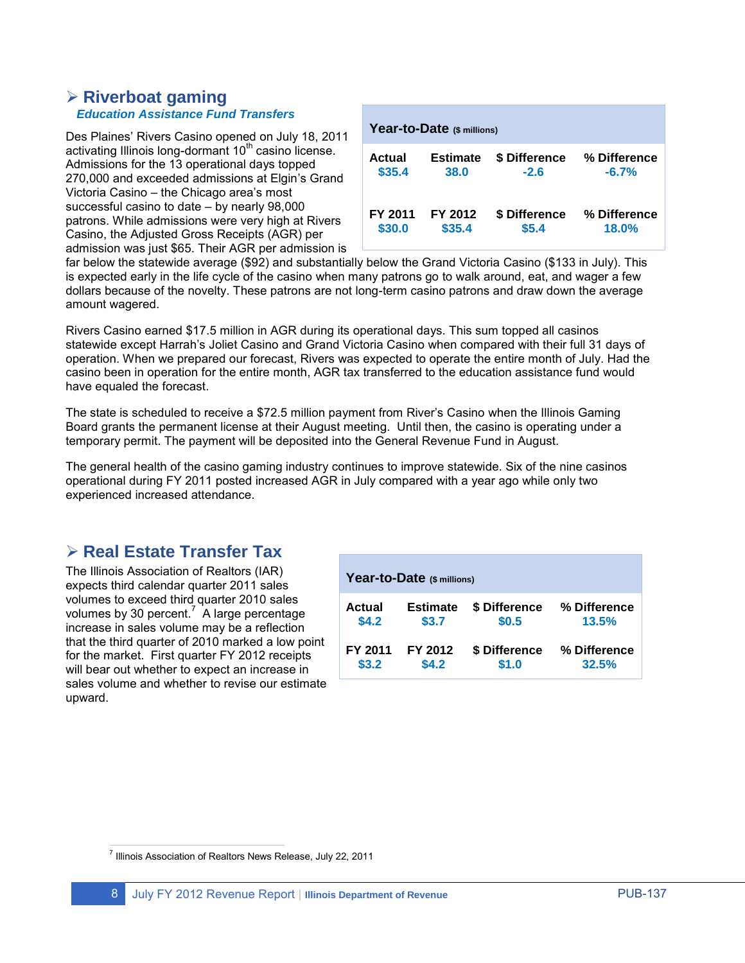#### **Riverboat gaming** *Education Assistance Fund Transfers*

Des Plaines' Rivers Casino opened on July 18, 2011 activating Illinois long-dormant 10<sup>th</sup> casino license. Admissions for the 13 operational days topped 270,000 and exceeded admissions at Elgin's Grand Victoria Casino – the Chicago area's most successful casino to date – by nearly 98,000 patrons. While admissions were very high at Rivers Casino, the Adjusted Gross Receipts (AGR) per admission was just \$65. Their AGR per admission is

| Year-to-Date (\$ millions) |                 |               |              |  |  |  |  |  |
|----------------------------|-----------------|---------------|--------------|--|--|--|--|--|
| Actual                     | <b>Estimate</b> | \$ Difference | % Difference |  |  |  |  |  |
| \$35.4                     | 38.0            | $-2.6$        | $-6.7%$      |  |  |  |  |  |
| FY 2011                    | FY 2012         | \$ Difference | % Difference |  |  |  |  |  |
| \$30.0                     | \$35.4          | \$5.4         | 18.0%        |  |  |  |  |  |

far below the statewide average (\$92) and substantially below the Grand Victoria Casino (\$133 in July). This is expected early in the life cycle of the casino when many patrons go to walk around, eat, and wager a few dollars because of the novelty. These patrons are not long-term casino patrons and draw down the average amount wagered.

Rivers Casino earned \$17.5 million in AGR during its operational days. This sum topped all casinos statewide except Harrah's Joliet Casino and Grand Victoria Casino when compared with their full 31 days of operation. When we prepared our forecast, Rivers was expected to operate the entire month of July. Had the casino been in operation for the entire month, AGR tax transferred to the education assistance fund would have equaled the forecast.

The state is scheduled to receive a \$72.5 million payment from River's Casino when the Illinois Gaming Board grants the permanent license at their August meeting. Until then, the casino is operating under a temporary permit. The payment will be deposited into the General Revenue Fund in August.

The general health of the casino gaming industry continues to improve statewide. Six of the nine casinos operational during FY 2011 posted increased AGR in July compared with a year ago while only two experienced increased attendance.

### **Real Estate Transfer Tax**

The Illinois Association of Realtors (IAR) expects third calendar quarter 2011 sales volumes to exceed third quarter 2010 sales volumes by 30 percent.<sup>7</sup> A large percentage increase in sales volume may be a reflection that the third quarter of 2010 marked a low point for the market. First quarter FY 2012 receipts will bear out whether to expect an increase in sales volume and whether to revise our estimate upward.

| Year-to-Date (\$ millions) |                 |               |              |  |  |  |  |  |
|----------------------------|-----------------|---------------|--------------|--|--|--|--|--|
| Actual                     | <b>Estimate</b> | \$ Difference | % Difference |  |  |  |  |  |
| \$4.2                      | \$3.7           | \$0.5         | 13.5%        |  |  |  |  |  |
| FY 2011                    | FY 2012         | \$ Difference | % Difference |  |  |  |  |  |
| \$3.2                      | \$4.2           | \$1.0         | 32.5%        |  |  |  |  |  |

 7 Illinois Association of Realtors News Release, July 22, 2011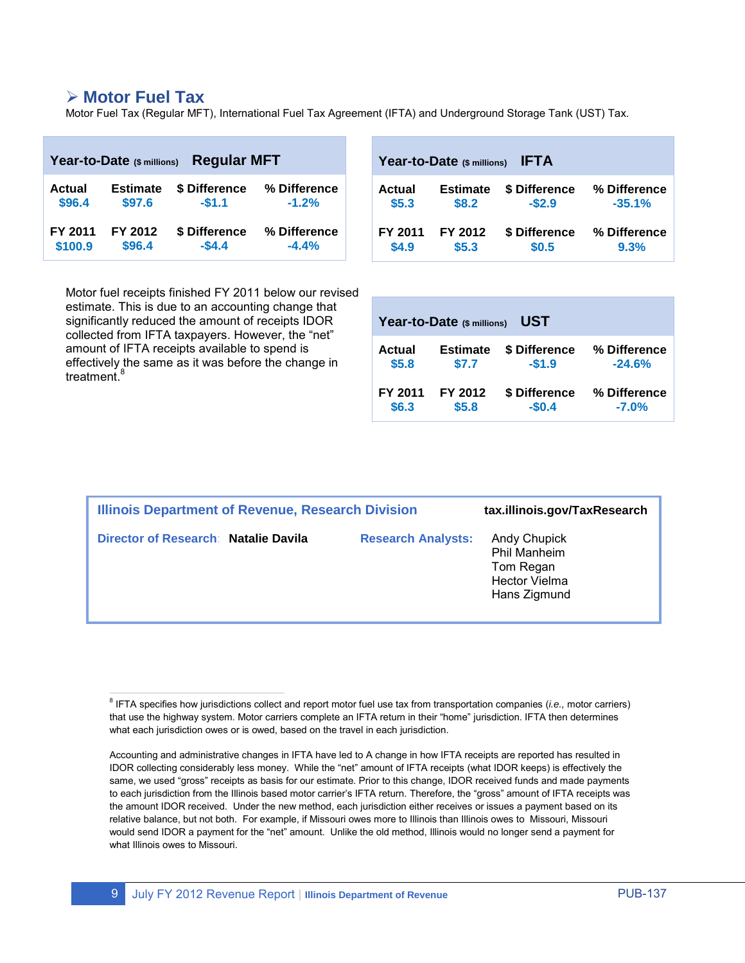#### **Motor Fuel Tax**

Motor Fuel Tax (Regular MFT), International Fuel Tax Agreement (IFTA) and Underground Storage Tank (UST) Tax.

| <b>Regular MFT</b><br>Year-to-Date (\$ millions) |                 |               | Year-to-Date $(s)$ millions) IFTA |               |                 |               |              |  |  |
|--------------------------------------------------|-----------------|---------------|-----------------------------------|---------------|-----------------|---------------|--------------|--|--|
| <b>Actual</b>                                    | <b>Estimate</b> | \$ Difference | % Difference                      | <b>Actual</b> | <b>Estimate</b> | \$ Difference | % Difference |  |  |
| \$96.4                                           | \$97.6          | $-$1.1$       | $-1.2%$                           | \$5.3         | \$8.2           | $-$ \$2.9     | $-35.1%$     |  |  |
| FY 2011                                          | FY 2012         | \$ Difference | % Difference                      | FY 2011       | FY 2012         | \$ Difference | % Difference |  |  |
| \$100.9                                          | \$96.4          | $-54.4$       | $-4.4%$                           | \$4.9         | \$5.3           | \$0.5         | 9.3%         |  |  |

Motor fuel receipts finished FY 2011 below our revised estimate. This is due to an accounting change that significantly reduced the amount of receipts IDOR collected from IFTA taxpayers. However, the "net" amount of IFTA receipts available to spend is effectively the same as it was before the change in treatment. 8

| UST<br>Year-to-Date (\$ millions) |                 |               |              |  |  |  |  |  |
|-----------------------------------|-----------------|---------------|--------------|--|--|--|--|--|
| Actual                            | <b>Estimate</b> | \$ Difference | % Difference |  |  |  |  |  |
| \$5.8                             | \$7.7           | $-$1.9$       | $-24.6%$     |  |  |  |  |  |
| FY 2011                           | FY 2012         | \$ Difference | % Difference |  |  |  |  |  |
| \$6.3                             | \$5.8           | $-$0.4$       | $-7.0%$      |  |  |  |  |  |

| <b>Illinois Department of Revenue, Research Division</b> | tax.illinois.gov/TaxResearch |                                                                                          |
|----------------------------------------------------------|------------------------------|------------------------------------------------------------------------------------------|
| Director of Research: Natalie Davila                     | <b>Research Analysts:</b>    | <b>Andy Chupick</b><br>Phil Manheim<br>Tom Regan<br><b>Hector Vielma</b><br>Hans Zigmund |

 8 IFTA specifies how jurisdictions collect and report motor fuel use tax from transportation companies (*i.e.,* motor carriers) that use the highway system. Motor carriers complete an IFTA return in their "home" jurisdiction. IFTA then determines what each jurisdiction owes or is owed, based on the travel in each jurisdiction.

Accounting and administrative changes in IFTA have led to A change in how IFTA receipts are reported has resulted in IDOR collecting considerably less money. While the "net" amount of IFTA receipts (what IDOR keeps) is effectively the same, we used "gross" receipts as basis for our estimate. Prior to this change, IDOR received funds and made payments to each jurisdiction from the Illinois based motor carrier's IFTA return. Therefore, the "gross" amount of IFTA receipts was the amount IDOR received. Under the new method, each jurisdiction either receives or issues a payment based on its relative balance, but not both. For example, if Missouri owes more to Illinois than Illinois owes to Missouri, Missouri would send IDOR a payment for the "net" amount. Unlike the old method, Illinois would no longer send a payment for what Illinois owes to Missouri.